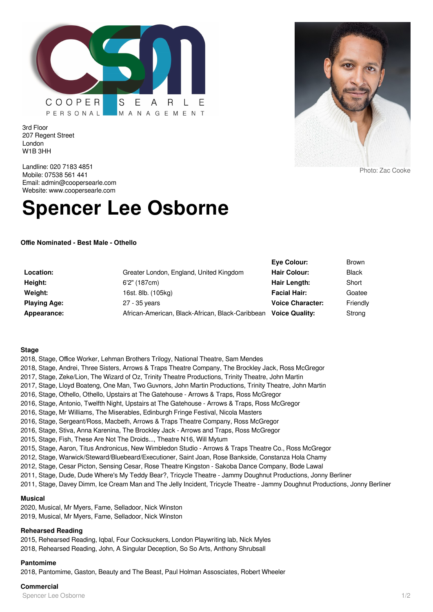

3rd Floor 207 Regent Street London W1B 3HH

Landline: 020 7183 4851 Mobile: 07538 561 441 Email: admin@coopersearle.com Website: www.coopersearle.com

# **Spencer Lee Osborne**

**Offie Nominated - Best Male - Othello**

|                     |                                                  | Eve Colour:             | <b>Brown</b> |
|---------------------|--------------------------------------------------|-------------------------|--------------|
| Location:           | Greater London, England, United Kingdom          | <b>Hair Colour:</b>     | <b>Black</b> |
| Height:             | 6'2" (187cm)                                     | Hair Length:            | Short        |
| Weight:             | 16st. 8lb. (105kg)                               | <b>Facial Hair:</b>     | Goatee       |
| <b>Playing Age:</b> | 27 - 35 years                                    | <b>Voice Character:</b> | Friendly     |
| Appearance:         | African-American, Black-African, Black-Caribbean | <b>Voice Quality:</b>   | Strong       |

#### **Stage**

2018, Stage, Office Worker, Lehman Brothers Trilogy, National Theatre, Sam Mendes 2018, Stage, Andrei, Three Sisters, Arrows & Traps Theatre Company, The Brockley Jack, Ross McGregor 2017, Stage, Zeke/Lion, The Wizard of Oz, Trinity Theatre Productions, Trinity Theatre, John Martin 2017, Stage, Lloyd Boateng, One Man, Two Guvnors, John Martin Productions, Trinity Theatre, John Martin 2016, Stage, Othello, Othello, Upstairs at The Gatehouse - Arrows & Traps, Ross McGregor 2016, Stage, Antonio, Twelfth Night, Upstairs at The Gatehouse - Arrows & Traps, Ross McGregor 2016, Stage, Mr Williams, The Miserables, Edinburgh Fringe Festival, Nicola Masters 2016, Stage, Sergeant/Ross, Macbeth, Arrows & Traps Theatre Company, Ross McGregor 2016, Stage, Stiva, Anna Karenina, The Brockley Jack - Arrows and Traps, Ross McGregor 2015, Stage, Fish, These Are Not The Droids..., Theatre N16, Will Mytum 2015, Stage, Aaron, Titus Andronicus, New Wimbledon Studio - Arrows & Traps Theatre Co., Ross McGregor 2012, Stage, Warwick/Steward/Bluebeard/Executioner, Saint Joan, Rose Bankside, Constanza Hola Chamy 2012, Stage, Cesar Picton, Sensing Cesar, Rose Theatre Kingston - Sakoba Dance Company, Bode Lawal 2011, Stage, Dude, Dude Where's My Teddy Bear?, Tricycle Theatre - Jammy Doughnut Productions, Jonny Berliner 2011, Stage, Davey Dimm, Ice Cream Man and The Jelly Incident, Tricycle Theatre - Jammy Doughnut Productions, Jonny Berliner

## **Musical**

2020, Musical, Mr Myers, Fame, Selladoor, Nick Winston 2019, Musical, Mr Myers, Fame, Selladoor, Nick Winston

# **Rehearsed Reading**

2015, Rehearsed Reading, Iqbal, Four Cocksuckers, London Playwriting lab, Nick Myles 2018, Rehearsed Reading, John, A Singular Deception, So So Arts, Anthony Shrubsall

# **Pantomime**

2018, Pantomime, Gaston, Beauty and The Beast, Paul Holman Assosciates, Robert Wheeler

## **Commercial**